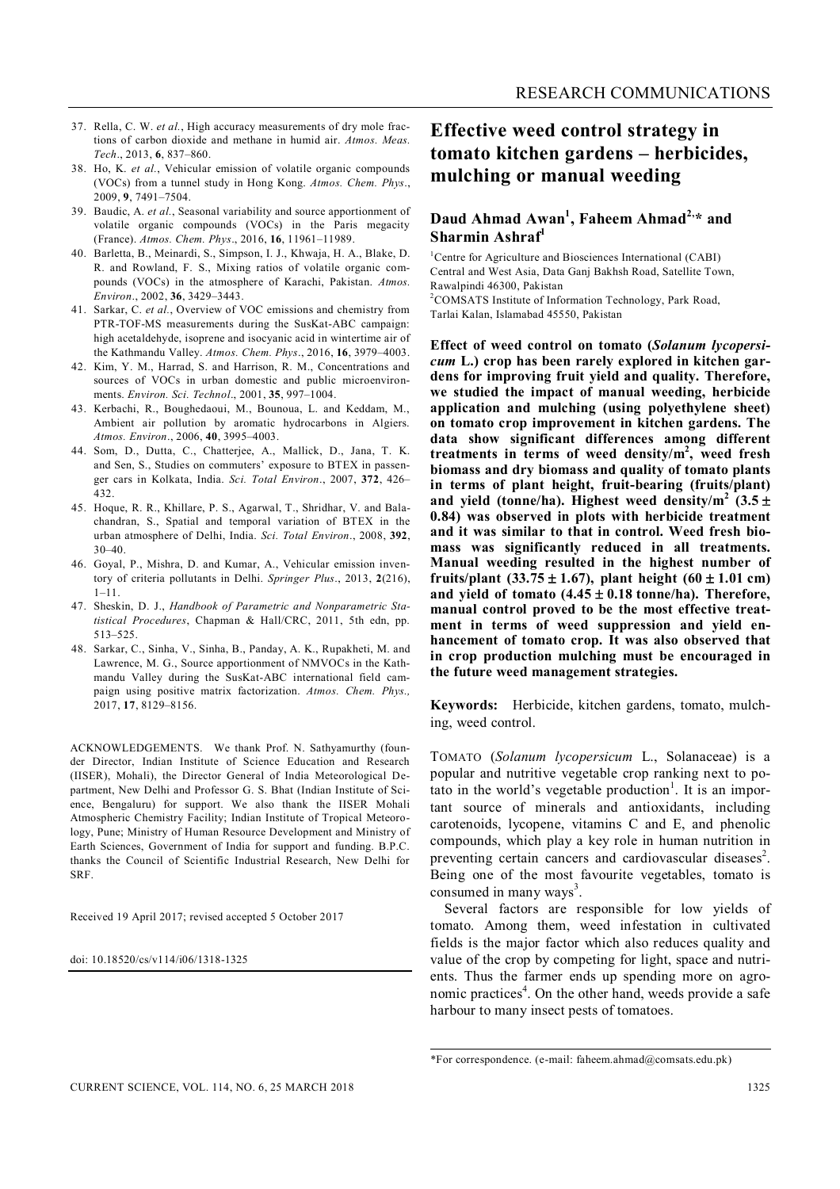- 37. Rella, C. W. *et al.*, High accuracy measurements of dry mole fractions of carbon dioxide and methane in humid air. *Atmos. Meas. Tech*., 2013, **6**, 837–860.
- 38. Ho, K. *et al.*, Vehicular emission of volatile organic compounds (VOCs) from a tunnel study in Hong Kong. *Atmos. Chem. Phys*., 2009, **9**, 7491–7504.
- 39. Baudic, A. *et al.*, Seasonal variability and source apportionment of volatile organic compounds (VOCs) in the Paris megacity (France). *Atmos. Chem. Phys*., 2016, **16**, 11961–11989.
- 40. Barletta, B., Meinardi, S., Simpson, I. J., Khwaja, H. A., Blake, D. R. and Rowland, F. S., Mixing ratios of volatile organic compounds (VOCs) in the atmosphere of Karachi, Pakistan. *Atmos. Environ*., 2002, **36**, 3429–3443.
- 41. Sarkar, C. *et al.*, Overview of VOC emissions and chemistry from PTR-TOF-MS measurements during the SusKat-ABC campaign: high acetaldehyde, isoprene and isocyanic acid in wintertime air of the Kathmandu Valley. *Atmos. Chem. Phys*., 2016, **16**, 3979–4003.
- 42. Kim, Y. M., Harrad, S. and Harrison, R. M., Concentrations and sources of VOCs in urban domestic and public microenvironments. *Environ. Sci. Technol*., 2001, **35**, 997–1004.
- 43. Kerbachi, R., Boughedaoui, M., Bounoua, L. and Keddam, M., Ambient air pollution by aromatic hydrocarbons in Algiers. *Atmos. Environ*., 2006, **40**, 3995–4003.
- 44. Som, D., Dutta, C., Chatterjee, A., Mallick, D., Jana, T. K. and Sen, S., Studies on commuters' exposure to BTEX in passenger cars in Kolkata, India. *Sci. Total Environ*., 2007, **372**, 426– 432.
- 45. Hoque, R. R., Khillare, P. S., Agarwal, T., Shridhar, V. and Balachandran, S., Spatial and temporal variation of BTEX in the urban atmosphere of Delhi, India. *Sci. Total Environ*., 2008, **392**, 30–40.
- 46. Goyal, P., Mishra, D. and Kumar, A., Vehicular emission inventory of criteria pollutants in Delhi. *Springer Plus*., 2013, **2**(216),  $1 - 11$ .
- 47. Sheskin, D. J., *Handbook of Parametric and Nonparametric Statistical Procedures*, Chapman & Hall/CRC, 2011, 5th edn, pp. 513–525.
- 48. Sarkar, C., Sinha, V., Sinha, B., Panday, A. K., Rupakheti, M. and Lawrence, M. G., Source apportionment of NMVOCs in the Kathmandu Valley during the SusKat-ABC international field campaign using positive matrix factorization. *Atmos. Chem. Phys.,* 2017, **17**, 8129–8156.

ACKNOWLEDGEMENTS. We thank Prof. N. Sathyamurthy (founder Director, Indian Institute of Science Education and Research (IISER), Mohali), the Director General of India Meteorological Department, New Delhi and Professor G. S. Bhat (Indian Institute of Science, Bengaluru) for support. We also thank the IISER Mohali Atmospheric Chemistry Facility; Indian Institute of Tropical Meteorology, Pune; Ministry of Human Resource Development and Ministry of Earth Sciences, Government of India for support and funding. B.P.C. thanks the Council of Scientific Industrial Research, New Delhi for SRF.

Received 19 April 2017; revised accepted 5 October 2017

doi: 10.18520/cs/v114/i06/1318-1325

## **Effective weed control strategy in tomato kitchen gardens – herbicides, mulching or manual weeding**

## **Daud Ahmad Awan<sup>1</sup> , Faheem Ahmad2,\* and Sharmin Ashraf<sup>1</sup>**

<sup>1</sup>Centre for Agriculture and Biosciences International (CABI) Central and West Asia, Data Ganj Bakhsh Road, Satellite Town, Rawalpindi 46300, Pakistan <sup>2</sup>COMSATS Institute of Information Technology, Park Road, Tarlai Kalan, Islamabad 45550, Pakistan

**Effect of weed control on tomato (***Solanum lycopersicum* **L.) crop has been rarely explored in kitchen gardens for improving fruit yield and quality. Therefore, we studied the impact of manual weeding, herbicide application and mulching (using polyethylene sheet) on tomato crop improvement in kitchen gardens. The data show significant differences among different treatments in terms of weed density/m 2 , weed fresh biomass and dry biomass and quality of tomato plants in terms of plant height, fruit-bearing (fruits/plant)**  and yield (tonne/ha). Highest weed density/m<sup>2</sup>  $(3.5 \pm$ **0.84) was observed in plots with herbicide treatment and it was similar to that in control. Weed fresh biomass was significantly reduced in all treatments. Manual weeding resulted in the highest number of fruits/plant**  $(33.75 \pm 1.67)$ , plant height  $(60 \pm 1.01 \text{ cm})$ and yield of tomato  $(4.45 \pm 0.18 \text{ tonne/ha})$ . Therefore, **manual control proved to be the most effective treatment in terms of weed suppression and yield enhancement of tomato crop. It was also observed that in crop production mulching must be encouraged in the future weed management strategies.**

**Keywords:** Herbicide, kitchen gardens, tomato, mulching, weed control.

TOMATO (*Solanum lycopersicum* L., Solanaceae) is a popular and nutritive vegetable crop ranking next to potato in the world's vegetable production<sup>1</sup>. It is an important source of minerals and antioxidants, including carotenoids, lycopene, vitamins C and E, and phenolic compounds, which play a key role in human nutrition in preventing certain cancers and cardiovascular diseases<sup>2</sup>. Being one of the most favourite vegetables, tomato is consumed in many ways<sup>3</sup>.

Several factors are responsible for low yields of tomato. Among them, weed infestation in cultivated fields is the major factor which also reduces quality and value of the crop by competing for light, space and nutrients. Thus the farmer ends up spending more on agronomic practices<sup>4</sup>. On the other hand, weeds provide a safe harbour to many insect pests of tomatoes.

<sup>\*</sup>For correspondence. (e-mail: faheem.ahmad@comsats.edu.pk)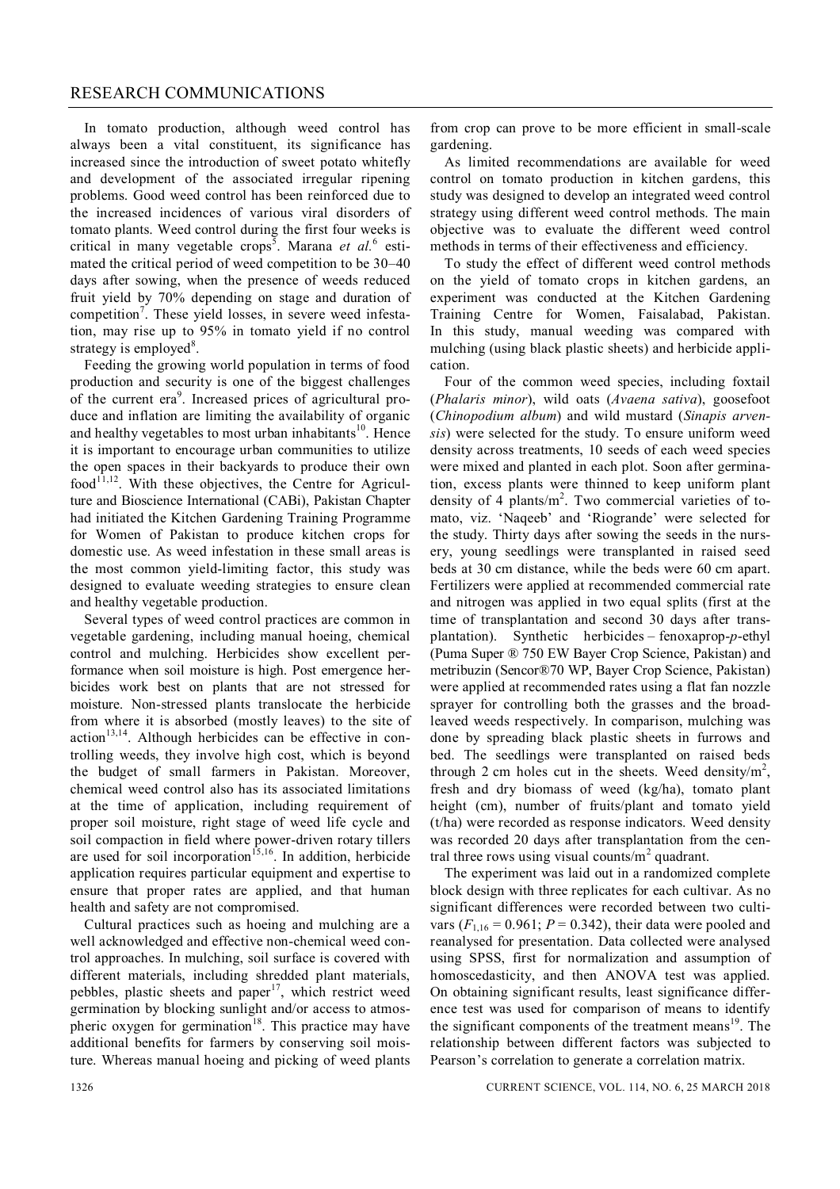In tomato production, although weed control has always been a vital constituent, its significance has increased since the introduction of sweet potato whitefly and development of the associated irregular ripening problems. Good weed control has been reinforced due to the increased incidences of various viral disorders of tomato plants. Weed control during the first four weeks is critical in many vegetable crops<sup>5</sup>. Marana *et al.*<sup>6</sup> estimated the critical period of weed competition to be 30–40 days after sowing, when the presence of weeds reduced fruit yield by 70% depending on stage and duration of competition<sup>7</sup>. These yield losses, in severe weed infestation, may rise up to 95% in tomato yield if no control strategy is employed<sup>8</sup>.

Feeding the growing world population in terms of food production and security is one of the biggest challenges of the current era<sup>9</sup>. Increased prices of agricultural produce and inflation are limiting the availability of organic and healthy vegetables to most urban inhabitants<sup>10</sup>. Hence it is important to encourage urban communities to utilize the open spaces in their backyards to produce their own  $food^{11,12}$ . With these objectives, the Centre for Agriculture and Bioscience International (CABi), Pakistan Chapter had initiated the Kitchen Gardening Training Programme for Women of Pakistan to produce kitchen crops for domestic use. As weed infestation in these small areas is the most common yield-limiting factor, this study was designed to evaluate weeding strategies to ensure clean and healthy vegetable production.

Several types of weed control practices are common in vegetable gardening, including manual hoeing, chemical control and mulching. Herbicides show excellent performance when soil moisture is high. Post emergence herbicides work best on plants that are not stressed for moisture. Non-stressed plants translocate the herbicide from where it is absorbed (mostly leaves) to the site of  $action<sup>13,14</sup>$ . Although herbicides can be effective in controlling weeds, they involve high cost, which is beyond the budget of small farmers in Pakistan. Moreover, chemical weed control also has its associated limitations at the time of application, including requirement of proper soil moisture, right stage of weed life cycle and soil compaction in field where power-driven rotary tillers are used for soil incorporation<sup>15,16</sup>. In addition, herbicide application requires particular equipment and expertise to ensure that proper rates are applied, and that human health and safety are not compromised.

Cultural practices such as hoeing and mulching are a well acknowledged and effective non-chemical weed control approaches. In mulching, soil surface is covered with different materials, including shredded plant materials, pebbles, plastic sheets and paper<sup>17</sup>, which restrict weed germination by blocking sunlight and/or access to atmospheric oxygen for germination<sup>18</sup>. This practice may have additional benefits for farmers by conserving soil moisture. Whereas manual hoeing and picking of weed plants

from crop can prove to be more efficient in small-scale gardening.

As limited recommendations are available for weed control on tomato production in kitchen gardens, this study was designed to develop an integrated weed control strategy using different weed control methods. The main objective was to evaluate the different weed control methods in terms of their effectiveness and efficiency.

To study the effect of different weed control methods on the yield of tomato crops in kitchen gardens, an experiment was conducted at the Kitchen Gardening Training Centre for Women, Faisalabad, Pakistan. In this study, manual weeding was compared with mulching (using black plastic sheets) and herbicide application.

Four of the common weed species, including foxtail (*Phalaris minor*), wild oats (*Avaena sativa*), goosefoot (*Chinopodium album*) and wild mustard (*Sinapis arvensis*) were selected for the study. To ensure uniform weed density across treatments, 10 seeds of each weed species were mixed and planted in each plot. Soon after germination, excess plants were thinned to keep uniform plant density of 4 plants/ $m^2$ . Two commercial varieties of tomato, viz. 'Naqeeb' and 'Riogrande' were selected for the study. Thirty days after sowing the seeds in the nursery, young seedlings were transplanted in raised seed beds at 30 cm distance, while the beds were 60 cm apart. Fertilizers were applied at recommended commercial rate and nitrogen was applied in two equal splits (first at the time of transplantation and second 30 days after transplantation). Synthetic herbicides – fenoxaprop-*p*-ethyl (Puma Super ® 750 EW Bayer Crop Science, Pakistan) and metribuzin (Sencor®70 WP, Bayer Crop Science, Pakistan) were applied at recommended rates using a flat fan nozzle sprayer for controlling both the grasses and the broadleaved weeds respectively. In comparison, mulching was done by spreading black plastic sheets in furrows and bed. The seedlings were transplanted on raised beds through 2 cm holes cut in the sheets. Weed density/ $m^2$ , fresh and dry biomass of weed (kg/ha), tomato plant height (cm), number of fruits/plant and tomato yield (t/ha) were recorded as response indicators. Weed density was recorded 20 days after transplantation from the central three rows using visual counts/ $m^2$  quadrant.

The experiment was laid out in a randomized complete block design with three replicates for each cultivar. As no significant differences were recorded between two cultivars  $(F_{1,16} = 0.961; P = 0.342)$ , their data were pooled and reanalysed for presentation. Data collected were analysed using SPSS, first for normalization and assumption of homoscedasticity, and then ANOVA test was applied. On obtaining significant results, least significance difference test was used for comparison of means to identify the significant components of the treatment means<sup>19</sup>. The relationship between different factors was subjected to Pearson's correlation to generate a correlation matrix.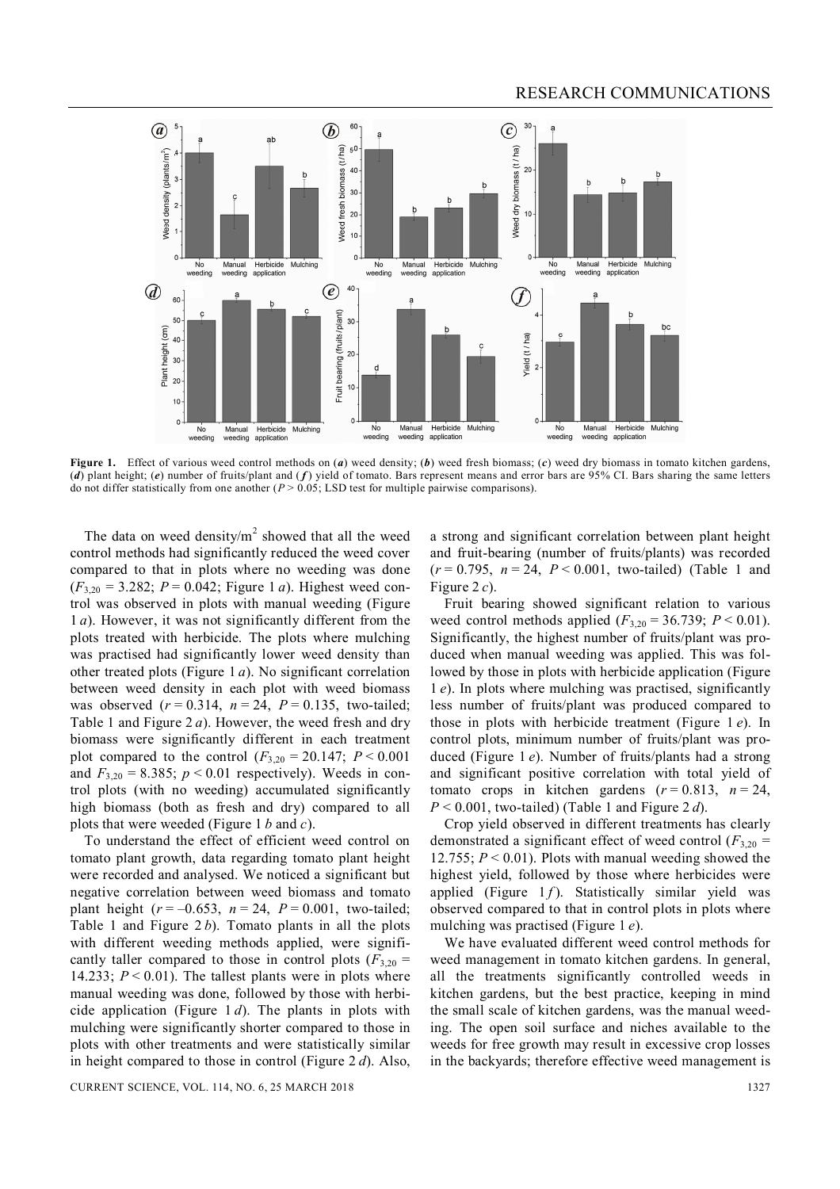

**Figure 1.** Effect of various weed control methods on (*a*) weed density; (*b*) weed fresh biomass; (*c*) weed dry biomass in tomato kitchen gardens, (*d*) plant height; (*e*) number of fruits/plant and ( *f* ) yield of tomato. Bars represent means and error bars are 95% CI. Bars sharing the same letters do not differ statistically from one another (*P* > 0.05; LSD test for multiple pairwise comparisons).

The data on weed density/ $m^2$  showed that all the weed control methods had significantly reduced the weed cover compared to that in plots where no weeding was done  $(F_{3,20} = 3.282; P = 0.042;$  Figure 1 *a*). Highest weed control was observed in plots with manual weeding (Figure 1 *a*). However, it was not significantly different from the plots treated with herbicide. The plots where mulching was practised had significantly lower weed density than other treated plots (Figure 1 *a*). No significant correlation between weed density in each plot with weed biomass was observed  $(r = 0.314, n = 24, P = 0.135, two-tailed;$ Table 1 and Figure 2 *a*). However, the weed fresh and dry biomass were significantly different in each treatment plot compared to the control  $(F_{3,20} = 20.147; P \le 0.001$ and  $F_{3,20} = 8.385$ ;  $p < 0.01$  respectively). Weeds in control plots (with no weeding) accumulated significantly high biomass (both as fresh and dry) compared to all plots that were weeded (Figure 1 *b* and *c*).

To understand the effect of efficient weed control on tomato plant growth, data regarding tomato plant height were recorded and analysed. We noticed a significant but negative correlation between weed biomass and tomato plant height  $(r = -0.653, n = 24, P = 0.001, two-tailed;$ Table 1 and Figure 2 *b*). Tomato plants in all the plots with different weeding methods applied, were significantly taller compared to those in control plots  $(F_{3,20} =$ 14.233;  $P < 0.01$ ). The tallest plants were in plots where manual weeding was done, followed by those with herbicide application (Figure 1 *d*). The plants in plots with mulching were significantly shorter compared to those in plots with other treatments and were statistically similar in height compared to those in control (Figure 2 *d*). Also,

a strong and significant correlation between plant height and fruit-bearing (number of fruits/plants) was recorded (*r* = 0.795, *n* = 24, *P* < 0.001, two-tailed) (Table 1 and Figure 2 *c*).

Fruit bearing showed significant relation to various weed control methods applied  $(F_{3,20} = 36.739; P \le 0.01)$ . Significantly, the highest number of fruits/plant was produced when manual weeding was applied. This was followed by those in plots with herbicide application (Figure 1 *e*). In plots where mulching was practised, significantly less number of fruits/plant was produced compared to those in plots with herbicide treatment (Figure 1 *e*). In control plots, minimum number of fruits/plant was produced (Figure 1 *e*). Number of fruits/plants had a strong and significant positive correlation with total yield of tomato crops in kitchen gardens  $(r=0.813, n=24,$ *P* < 0.001, two-tailed) (Table 1 and Figure 2 *d*).

Crop yield observed in different treatments has clearly demonstrated a significant effect of weed control (*F*3,20 *=* 12.755;  $P < 0.01$ ). Plots with manual weeding showed the highest yield, followed by those where herbicides were applied (Figure  $1 f$ ). Statistically similar yield was observed compared to that in control plots in plots where mulching was practised (Figure 1 *e*).

We have evaluated different weed control methods for weed management in tomato kitchen gardens. In general, all the treatments significantly controlled weeds in kitchen gardens, but the best practice, keeping in mind the small scale of kitchen gardens, was the manual weeding. The open soil surface and niches available to the weeds for free growth may result in excessive crop losses in the backyards; therefore effective weed management is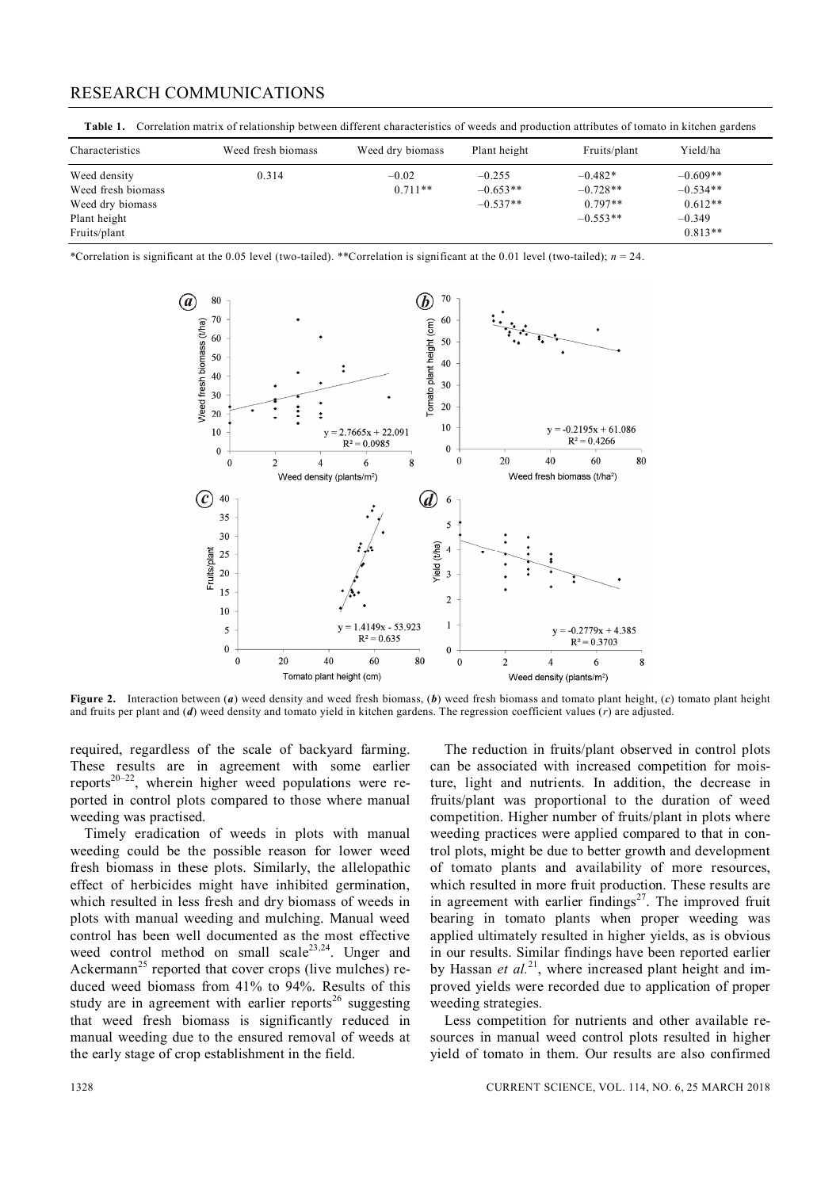## RESEARCH COMMUNICATIONS

**Table 1.** Correlation matrix of relationship between different characteristics of weeds and production attributes of tomato in kitchen gardens

| Characteristics                                                                        | Weed fresh biomass | Weed dry biomass     | Plant height                         | Fruits/plant                                       | Yield/ha                                                       |
|----------------------------------------------------------------------------------------|--------------------|----------------------|--------------------------------------|----------------------------------------------------|----------------------------------------------------------------|
| Weed density<br>Weed fresh biomass<br>Weed dry biomass<br>Plant height<br>Fruits/plant | 0.314              | $-0.02$<br>$0.711**$ | $-0.255$<br>$-0.653**$<br>$-0.537**$ | $-0.482*$<br>$-0.728**$<br>$0.797**$<br>$-0.553**$ | $-0.609**$<br>$-0.534**$<br>$0.612**$<br>$-0.349$<br>$0.813**$ |

\*Correlation is significant at the 0.05 level (two-tailed). \*\*Correlation is significant at the 0.01 level (two-tailed); *n* = 24.



**Figure 2.** Interaction between (*a*) weed density and weed fresh biomass, (*b*) weed fresh biomass and tomato plant height, (*c*) tomato plant height and fruits per plant and (*d*) weed density and tomato yield in kitchen gardens. The regression coefficient values (*r*) are adjusted.

required, regardless of the scale of backyard farming. These results are in agreement with some earlier reports $20-22$ , wherein higher weed populations were reported in control plots compared to those where manual weeding was practised.

Timely eradication of weeds in plots with manual weeding could be the possible reason for lower weed fresh biomass in these plots. Similarly, the allelopathic effect of herbicides might have inhibited germination, which resulted in less fresh and dry biomass of weeds in plots with manual weeding and mulching. Manual weed control has been well documented as the most effective weed control method on small scale $^{23,24}$ . Unger and Ackermann<sup>25</sup> reported that cover crops (live mulches) reduced weed biomass from 41% to 94%. Results of this study are in agreement with earlier reports<sup>26</sup> suggesting that weed fresh biomass is significantly reduced in manual weeding due to the ensured removal of weeds at the early stage of crop establishment in the field.

The reduction in fruits/plant observed in control plots can be associated with increased competition for moisture, light and nutrients. In addition, the decrease in fruits/plant was proportional to the duration of weed competition. Higher number of fruits/plant in plots where weeding practices were applied compared to that in control plots, might be due to better growth and development of tomato plants and availability of more resources, which resulted in more fruit production. These results are in agreement with earlier findings<sup>27</sup>. The improved fruit bearing in tomato plants when proper weeding was applied ultimately resulted in higher yields, as is obvious in our results. Similar findings have been reported earlier by Hassan *et al.*<sup>21</sup>, where increased plant height and improved yields were recorded due to application of proper weeding strategies.

Less competition for nutrients and other available resources in manual weed control plots resulted in higher yield of tomato in them. Our results are also confirmed